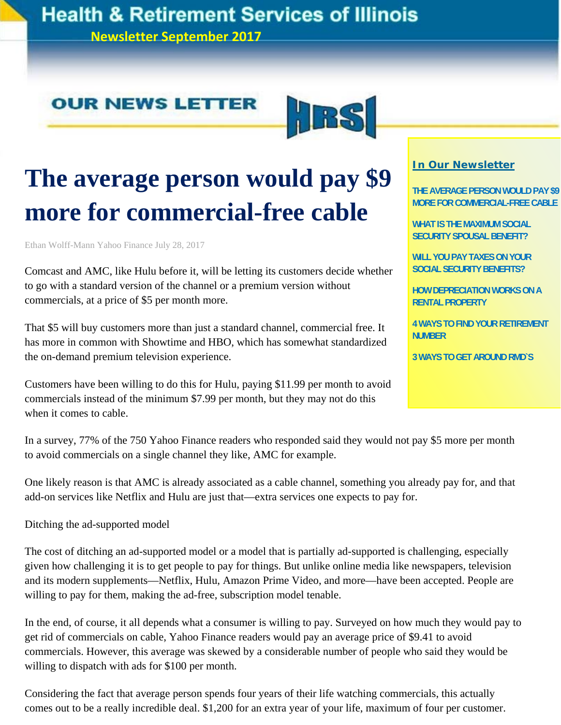### **Health & Retirement Services of Illinois**

**Newsletter September 2017**

### **OUR NEWS LETTER**



# **The average person would pay \$9 more for commercial-free cable**

Ethan Wolff-Mann Yahoo Finance July 28, 2017

Comcast and AMC, like Hulu before it, will be letting its customers decide whether to go with a standard version of the channel or a premium version without commercials, at a price of \$5 per month more.

That \$5 will buy customers more than just a standard channel, commercial free. It has more in common with Showtime and HBO, which has somewhat standardized the on-demand premium television experience.

Customers have been willing to do this for Hulu, paying \$11.99 per month to avoid commercials instead of the minimum \$7.99 per month, but they may not do this when it comes to cable.

#### **In Our Newsletter**

**THE AVERAGE PERSON WOULD PAY \$9 MORE FOR COMMERCIAL-FREE CABLE**

**WHAT IS THE MAXIMUM SOCIAL SECURITY SPOUSAL BENEFIT?** 

**WILL YOU PAY TAXES ON YOUR SOCIAL SECURITY BENEFITS?** 

**HOW DEPRECIATION WORKS ON A RENTAL PROPERTY** 

**4 WAYS TO FIND YOUR RETIREMENT NUMBER** 

**3 WAYS TO GET AROUND RMD`S**

In a survey, 77% of the 750 Yahoo Finance readers who responded said they would not pay \$5 more per month to avoid commercials on a single channel they like, AMC for example.

One likely reason is that AMC is already associated as a cable channel, something you already pay for, and that add-on services like Netflix and Hulu are just that—extra services one expects to pay for.

Ditching the ad-supported model

The cost of ditching an ad-supported model or a model that is partially ad-supported is challenging, especially given how challenging it is to get people to pay for things. But unlike online media like newspapers, television and its modern supplements—Netflix, Hulu, Amazon Prime Video, and more—have been accepted. People are willing to pay for them, making the ad-free, subscription model tenable.

In the end, of course, it all depends what a consumer is willing to pay. Surveyed on how much they would pay to get rid of commercials on cable, Yahoo Finance readers would pay an average price of \$9.41 to avoid commercials. However, this average was skewed by a considerable number of people who said they would be willing to dispatch with ads for \$100 per month.

Considering the fact that average person spends four years of their life watching commercials, this actually comes out to be a really incredible deal. \$1,200 for an extra year of your life, maximum of four per customer.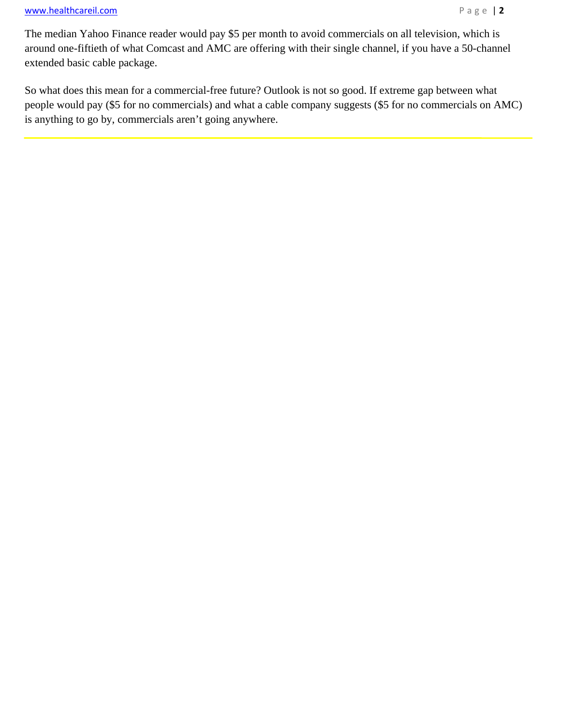#### www.healthcareil.com **blue and the set of the set of the set of the set of the set of the set of the set of the set of the set of the set of the set of the set of the set of the set of the set of the set of the set of the**

The median Yahoo Finance reader would pay \$5 per month to avoid commercials on all television, which is around one-fiftieth of what Comcast and AMC are offering with their single channel, if you have a 50-channel extended basic cable package.

So what does this mean for a commercial-free future? Outlook is not so good. If extreme gap between what people would pay (\$5 for no commercials) and what a cable company suggests (\$5 for no commercials on AMC) is anything to go by, commercials aren't going anywhere.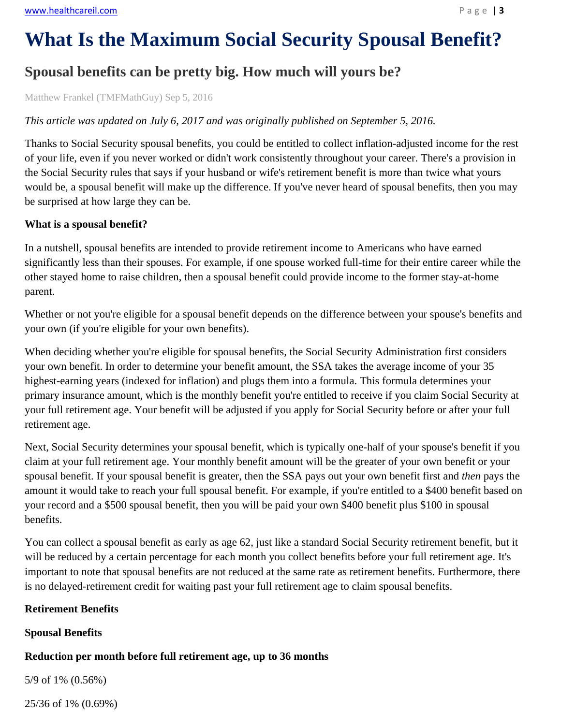# **What Is the Maximum Social Security Spousal Benefit?**

### **Spousal benefits can be pretty big. How much will yours be?**

Matthew Frankel (TMFMathGuy) Sep 5, 2016

#### *This article was updated on July 6, 2017 and was originally published on September 5, 2016.*

Thanks to Social Security spousal benefits, you could be entitled to collect inflation-adjusted income for the rest of your life, even if you never worked or didn't work consistently throughout your career. There's a provision in the Social Security rules that says if your husband or wife's retirement benefit is more than twice what yours would be, a spousal benefit will make up the difference. If you've never heard of spousal benefits, then you may be surprised at how large they can be.

#### **What is a spousal benefit?**

In a nutshell, spousal benefits are intended to provide retirement income to Americans who have earned significantly less than their spouses. For example, if one spouse worked full-time for their entire career while the other stayed home to raise children, then a spousal benefit could provide income to the former stay-at-home parent.

Whether or not you're eligible for a spousal benefit depends on the difference between your spouse's benefits and your own (if you're eligible for your own benefits).

When deciding whether you're eligible for spousal benefits, the Social Security Administration first considers your own benefit. In order to determine your benefit amount, the SSA takes the average income of your 35 highest-earning years (indexed for inflation) and plugs them into a formula. This formula determines your primary insurance amount, which is the monthly benefit you're entitled to receive if you claim Social Security at your full retirement age. Your benefit will be adjusted if you apply for Social Security before or after your full retirement age.

Next, Social Security determines your spousal benefit, which is typically one-half of your spouse's benefit if you claim at your full retirement age. Your monthly benefit amount will be the greater of your own benefit or your spousal benefit. If your spousal benefit is greater, then the SSA pays out your own benefit first and *then* pays the amount it would take to reach your full spousal benefit. For example, if you're entitled to a \$400 benefit based on your record and a \$500 spousal benefit, then you will be paid your own \$400 benefit plus \$100 in spousal benefits.

You can collect a spousal benefit as early as age 62, just like a standard Social Security retirement benefit, but it will be reduced by a certain percentage for each month you collect benefits before your full retirement age. It's important to note that spousal benefits are not reduced at the same rate as retirement benefits. Furthermore, there is no delayed-retirement credit for waiting past your full retirement age to claim spousal benefits.

#### **Retirement Benefits**

#### **Spousal Benefits**

#### **Reduction per month before full retirement age, up to 36 months**

5/9 of 1% (0.56%)

25/36 of 1% (0.69%)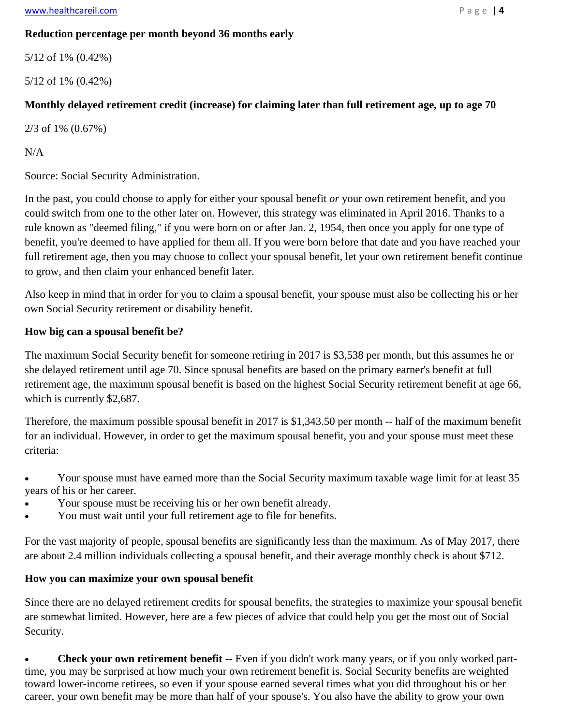#### **Reduction percentage per month beyond 36 months early**

5/12 of 1% (0.42%)

5/12 of 1% (0.42%)

#### **Monthly delayed retirement credit (increase) for claiming later than full retirement age, up to age 70**

2/3 of 1% (0.67%)

N/A

Source: Social Security Administration.

In the past, you could choose to apply for either your spousal benefit *or* your own retirement benefit, and you could switch from one to the other later on. However, this strategy was eliminated in April 2016. Thanks to a rule known as "deemed filing," if you were born on or after Jan. 2, 1954, then once you apply for one type of benefit, you're deemed to have applied for them all. If you were born before that date and you have reached your full retirement age, then you may choose to collect your spousal benefit, let your own retirement benefit continue to grow, and then claim your enhanced benefit later.

Also keep in mind that in order for you to claim a spousal benefit, your spouse must also be collecting his or her own Social Security retirement or disability benefit.

#### **How big can a spousal benefit be?**

The maximum Social Security benefit for someone retiring in 2017 is \$3,538 per month, but this assumes he or she delayed retirement until age 70. Since spousal benefits are based on the primary earner's benefit at full retirement age, the maximum spousal benefit is based on the highest Social Security retirement benefit at age 66, which is currently \$2,687.

Therefore, the maximum possible spousal benefit in 2017 is \$1,343.50 per month -- half of the maximum benefit for an individual. However, in order to get the maximum spousal benefit, you and your spouse must meet these criteria:

 Your spouse must have earned more than the Social Security maximum taxable wage limit for at least 35 years of his or her career.

- Your spouse must be receiving his or her own benefit already.
- You must wait until your full retirement age to file for benefits.

For the vast majority of people, spousal benefits are significantly less than the maximum. As of May 2017, there are about 2.4 million individuals collecting a spousal benefit, and their average monthly check is about \$712.

#### **How you can maximize your own spousal benefit**

Since there are no delayed retirement credits for spousal benefits, the strategies to maximize your spousal benefit are somewhat limited. However, here are a few pieces of advice that could help you get the most out of Social Security.

 **Check your own retirement benefit** -- Even if you didn't work many years, or if you only worked parttime, you may be surprised at how much your own retirement benefit is. Social Security benefits are weighted toward lower-income retirees, so even if your spouse earned several times what you did throughout his or her career, your own benefit may be more than half of your spouse's. You also have the ability to grow your own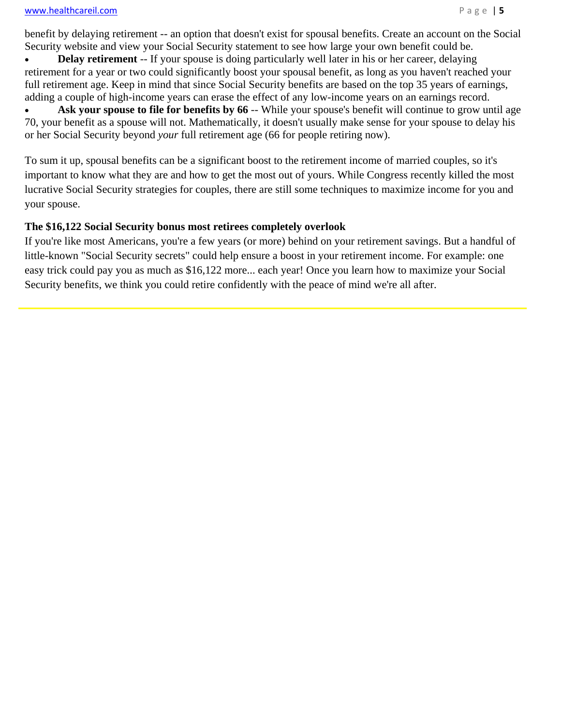benefit by delaying retirement -- an option that doesn't exist for spousal benefits. Create an account on the Social Security website and view your Social Security statement to see how large your own benefit could be.

• **Delay retirement** -- If your spouse is doing particularly well later in his or her career, delaying retirement for a year or two could significantly boost your spousal benefit, as long as you haven't reached your full retirement age. Keep in mind that since Social Security benefits are based on the top 35 years of earnings, adding a couple of high-income years can erase the effect of any low-income years on an earnings record.

Ask your spouse to file for benefits by 66 -- While your spouse's benefit will continue to grow until age 70, your benefit as a spouse will not. Mathematically, it doesn't usually make sense for your spouse to delay his or her Social Security beyond *your* full retirement age (66 for people retiring now).

To sum it up, spousal benefits can be a significant boost to the retirement income of married couples, so it's important to know what they are and how to get the most out of yours. While Congress recently killed the most lucrative Social Security strategies for couples, there are still some techniques to maximize income for you and your spouse.

#### **The \$16,122 Social Security bonus most retirees completely overlook**

If you're like most Americans, you're a few years (or more) behind on your retirement savings. But a handful of little-known "Social Security secrets" could help ensure a boost in your retirement income. For example: one easy trick could pay you as much as \$16,122 more... each year! Once you learn how to maximize your Social Security benefits, we think you could retire confidently with the peace of mind we're all after.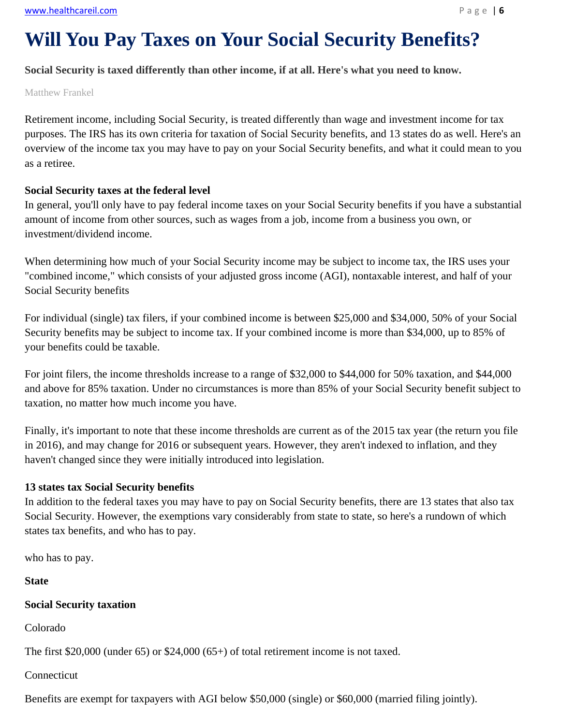# **Will You Pay Taxes on Your Social Security Benefits?**

**Social Security is taxed differently than other income, if at all. Here's what you need to know.** 

Matthew Frankel

Retirement income, including Social Security, is treated differently than wage and investment income for tax purposes. The IRS has its own criteria for taxation of Social Security benefits, and 13 states do as well. Here's an overview of the income tax you may have to pay on your Social Security benefits, and what it could mean to you as a retiree.

#### **Social Security taxes at the federal level**

In general, you'll only have to pay federal income taxes on your Social Security benefits if you have a substantial amount of income from other sources, such as wages from a job, income from a business you own, or investment/dividend income.

When determining how much of your Social Security income may be subject to income tax, the IRS uses your "combined income," which consists of your adjusted gross income (AGI), nontaxable interest, and half of your Social Security benefits

For individual (single) tax filers, if your combined income is between \$25,000 and \$34,000, 50% of your Social Security benefits may be subject to income tax. If your combined income is more than \$34,000, up to 85% of your benefits could be taxable.

For joint filers, the income thresholds increase to a range of \$32,000 to \$44,000 for 50% taxation, and \$44,000 and above for 85% taxation. Under no circumstances is more than 85% of your Social Security benefit subject to taxation, no matter how much income you have.

Finally, it's important to note that these income thresholds are current as of the 2015 tax year (the return you file in 2016), and may change for 2016 or subsequent years. However, they aren't indexed to inflation, and they haven't changed since they were initially introduced into legislation.

#### **13 states tax Social Security benefits**

In addition to the federal taxes you may have to pay on Social Security benefits, there are 13 states that also tax Social Security. However, the exemptions vary considerably from state to state, so here's a rundown of which states tax benefits, and who has to pay.

who has to pay.

**State** 

#### **Social Security taxation**

Colorado

The first \$20,000 (under 65) or \$24,000 (65+) of total retirement income is not taxed.

Connecticut

Benefits are exempt for taxpayers with AGI below \$50,000 (single) or \$60,000 (married filing jointly).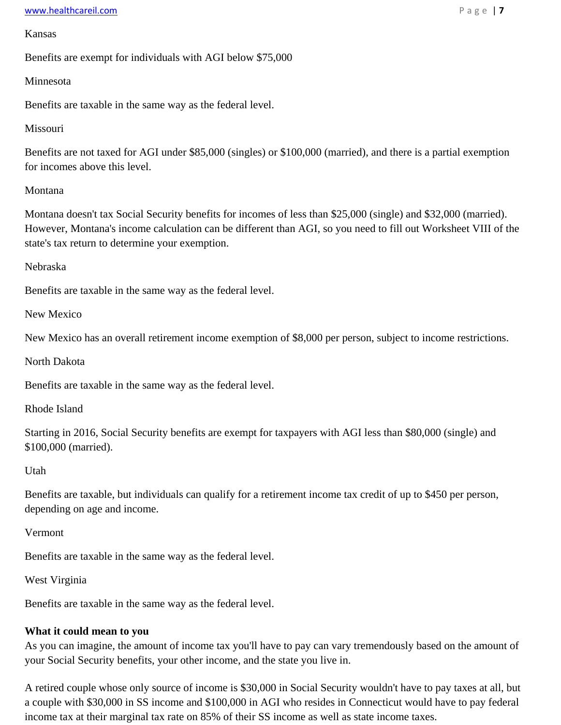#### www.healthcareil.com **P** a g e | **7**

#### Kansas

Benefits are exempt for individuals with AGI below \$75,000

#### Minnesota

Benefits are taxable in the same way as the federal level.

#### Missouri

Benefits are not taxed for AGI under \$85,000 (singles) or \$100,000 (married), and there is a partial exemption for incomes above this level.

#### Montana

Montana doesn't tax Social Security benefits for incomes of less than \$25,000 (single) and \$32,000 (married). However, Montana's income calculation can be different than AGI, so you need to fill out Worksheet VIII of the state's tax return to determine your exemption.

#### Nebraska

Benefits are taxable in the same way as the federal level.

New Mexico

New Mexico has an overall retirement income exemption of \$8,000 per person, subject to income restrictions.

North Dakota

Benefits are taxable in the same way as the federal level.

Rhode Island

Starting in 2016, Social Security benefits are exempt for taxpayers with AGI less than \$80,000 (single) and \$100,000 (married).

Utah

Benefits are taxable, but individuals can qualify for a retirement income tax credit of up to \$450 per person, depending on age and income.

Vermont

Benefits are taxable in the same way as the federal level.

West Virginia

Benefits are taxable in the same way as the federal level.

#### **What it could mean to you**

As you can imagine, the amount of income tax you'll have to pay can vary tremendously based on the amount of your Social Security benefits, your other income, and the state you live in.

A retired couple whose only source of income is \$30,000 in Social Security wouldn't have to pay taxes at all, but a couple with \$30,000 in SS income and \$100,000 in AGI who resides in Connecticut would have to pay federal income tax at their marginal tax rate on 85% of their SS income as well as state income taxes.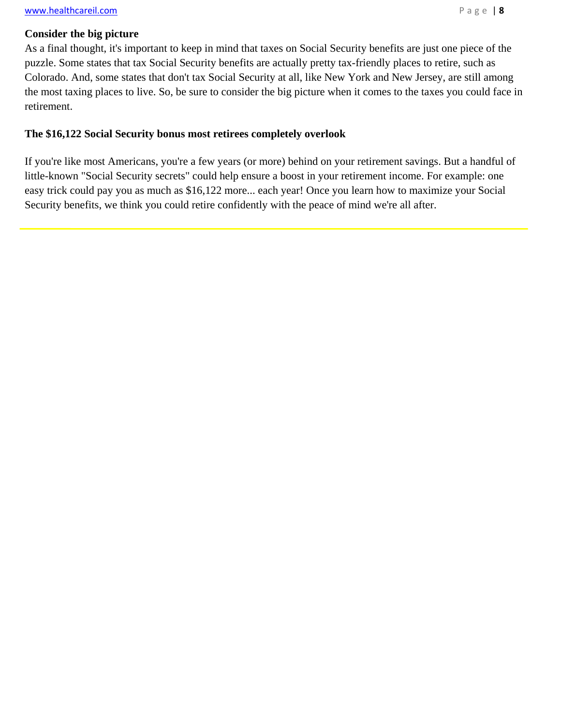#### **Consider the big picture**

As a final thought, it's important to keep in mind that taxes on Social Security benefits are just one piece of the puzzle. Some states that tax Social Security benefits are actually pretty tax-friendly places to retire, such as Colorado. And, some states that don't tax Social Security at all, like New York and New Jersey, are still among the most taxing places to live. So, be sure to consider the big picture when it comes to the taxes you could face in retirement.

#### **The \$16,122 Social Security bonus most retirees completely overlook**

If you're like most Americans, you're a few years (or more) behind on your retirement savings. But a handful of little-known "Social Security secrets" could help ensure a boost in your retirement income. For example: one easy trick could pay you as much as \$16,122 more... each year! Once you learn how to maximize your Social Security benefits, we think you could retire confidently with the peace of mind we're all after.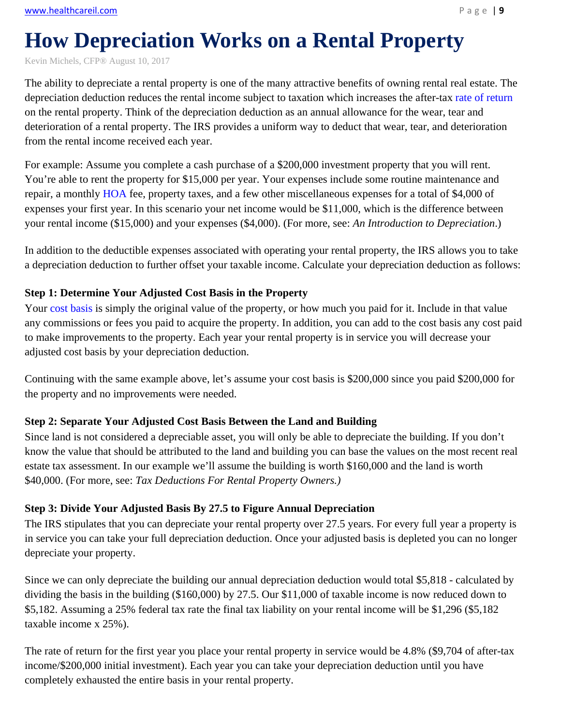# **How Depreciation Works on a Rental Property**

Kevin Michels, CFP® August 10, 2017

The ability to depreciate a rental property is one of the many attractive benefits of owning rental real estate. The depreciation deduction reduces the rental income subject to taxation which increases the after-tax rate of return on the rental property. Think of the depreciation deduction as an annual allowance for the wear, tear and deterioration of a rental property. The IRS provides a uniform way to deduct that wear, tear, and deterioration from the rental income received each year.

For example: Assume you complete a cash purchase of a \$200,000 investment property that you will rent. You're able to rent the property for \$15,000 per year. Your expenses include some routine maintenance and repair, a monthly HOA fee, property taxes, and a few other miscellaneous expenses for a total of \$4,000 of expenses your first year. In this scenario your net income would be \$11,000, which is the difference between your rental income (\$15,000) and your expenses (\$4,000). (For more, see: *An Introduction to Depreciation*.)

In addition to the deductible expenses associated with operating your rental property, the IRS allows you to take a depreciation deduction to further offset your taxable income. Calculate your depreciation deduction as follows:

#### **Step 1: Determine Your Adjusted Cost Basis in the Property**

Your cost basis is simply the original value of the property, or how much you paid for it. Include in that value any commissions or fees you paid to acquire the property. In addition, you can add to the cost basis any cost paid to make improvements to the property. Each year your rental property is in service you will decrease your adjusted cost basis by your depreciation deduction.

Continuing with the same example above, let's assume your cost basis is \$200,000 since you paid \$200,000 for the property and no improvements were needed.

#### **Step 2: Separate Your Adjusted Cost Basis Between the Land and Building**

Since land is not considered a depreciable asset, you will only be able to depreciate the building. If you don't know the value that should be attributed to the land and building you can base the values on the most recent real estate tax assessment. In our example we'll assume the building is worth \$160,000 and the land is worth \$40,000. (For more, see: *Tax Deductions For Rental Property Owners.)*

#### **Step 3: Divide Your Adjusted Basis By 27.5 to Figure Annual Depreciation**

The IRS stipulates that you can depreciate your rental property over 27.5 years. For every full year a property is in service you can take your full depreciation deduction. Once your adjusted basis is depleted you can no longer depreciate your property.

Since we can only depreciate the building our annual depreciation deduction would total \$5,818 - calculated by dividing the basis in the building (\$160,000) by 27.5. Our \$11,000 of taxable income is now reduced down to \$5,182. Assuming a 25% federal tax rate the final tax liability on your rental income will be \$1,296 (\$5,182 taxable income x 25%).

The rate of return for the first year you place your rental property in service would be 4.8% (\$9,704 of after-tax income/\$200,000 initial investment). Each year you can take your depreciation deduction until you have completely exhausted the entire basis in your rental property.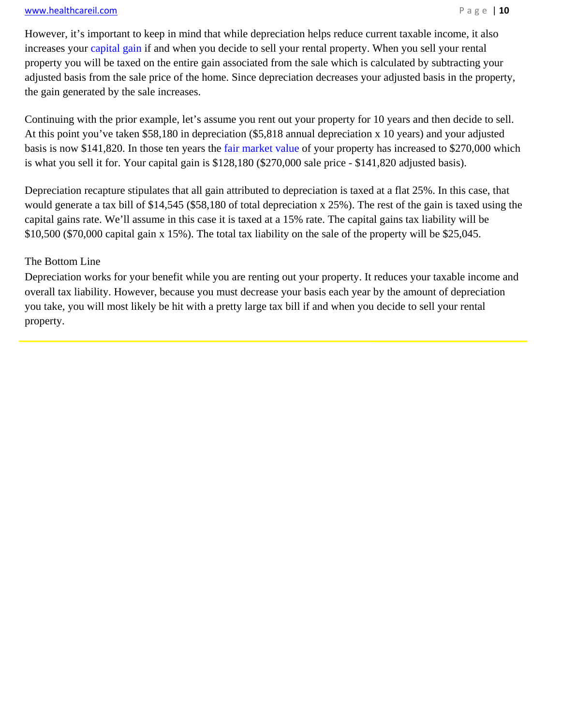#### www.healthcareil.com **blue and the set of the set of the set of the set of the set of the set of the set of the set of the set of the set of the set of the set of the set of the set of the set of the set of the set of the**

However, it's important to keep in mind that while depreciation helps reduce current taxable income, it also increases your capital gain if and when you decide to sell your rental property. When you sell your rental property you will be taxed on the entire gain associated from the sale which is calculated by subtracting your adjusted basis from the sale price of the home. Since depreciation decreases your adjusted basis in the property, the gain generated by the sale increases.

Continuing with the prior example, let's assume you rent out your property for 10 years and then decide to sell. At this point you've taken \$58,180 in depreciation (\$5,818 annual depreciation x 10 years) and your adjusted basis is now \$141,820. In those ten years the fair market value of your property has increased to \$270,000 which is what you sell it for. Your capital gain is \$128,180 (\$270,000 sale price - \$141,820 adjusted basis).

Depreciation recapture stipulates that all gain attributed to depreciation is taxed at a flat 25%. In this case, that would generate a tax bill of \$14,545 (\$58,180 of total depreciation x 25%). The rest of the gain is taxed using the capital gains rate. We'll assume in this case it is taxed at a 15% rate. The capital gains tax liability will be \$10,500 (\$70,000 capital gain x 15%). The total tax liability on the sale of the property will be \$25,045.

#### The Bottom Line

Depreciation works for your benefit while you are renting out your property. It reduces your taxable income and overall tax liability. However, because you must decrease your basis each year by the amount of depreciation you take, you will most likely be hit with a pretty large tax bill if and when you decide to sell your rental property.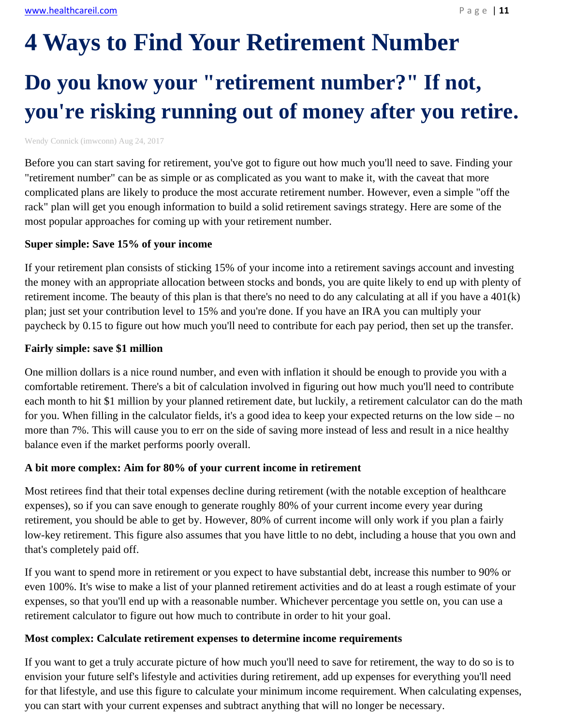# **4 Ways to Find Your Retirement Number**

# **Do you know your "retirement number?" If not, you're risking running out of money after you retire.**

Wendy Connick (imwconn) Aug 24, 2017

Before you can start saving for retirement, you've got to figure out how much you'll need to save. Finding your "retirement number" can be as simple or as complicated as you want to make it, with the caveat that more complicated plans are likely to produce the most accurate retirement number. However, even a simple "off the rack" plan will get you enough information to build a solid retirement savings strategy. Here are some of the most popular approaches for coming up with your retirement number.

#### **Super simple: Save 15% of your income**

If your retirement plan consists of sticking 15% of your income into a retirement savings account and investing the money with an appropriate allocation between stocks and bonds, you are quite likely to end up with plenty of retirement income. The beauty of this plan is that there's no need to do any calculating at all if you have a 401(k) plan; just set your contribution level to 15% and you're done. If you have an IRA you can multiply your paycheck by 0.15 to figure out how much you'll need to contribute for each pay period, then set up the transfer.

#### **Fairly simple: save \$1 million**

One million dollars is a nice round number, and even with inflation it should be enough to provide you with a comfortable retirement. There's a bit of calculation involved in figuring out how much you'll need to contribute each month to hit \$1 million by your planned retirement date, but luckily, a retirement calculator can do the math for you. When filling in the calculator fields, it's a good idea to keep your expected returns on the low side – no more than 7%. This will cause you to err on the side of saving more instead of less and result in a nice healthy balance even if the market performs poorly overall.

#### **A bit more complex: Aim for 80% of your current income in retirement**

Most retirees find that their total expenses decline during retirement (with the notable exception of healthcare expenses), so if you can save enough to generate roughly 80% of your current income every year during retirement, you should be able to get by. However, 80% of current income will only work if you plan a fairly low-key retirement. This figure also assumes that you have little to no debt, including a house that you own and that's completely paid off.

If you want to spend more in retirement or you expect to have substantial debt, increase this number to 90% or even 100%. It's wise to make a list of your planned retirement activities and do at least a rough estimate of your expenses, so that you'll end up with a reasonable number. Whichever percentage you settle on, you can use a retirement calculator to figure out how much to contribute in order to hit your goal.

#### **Most complex: Calculate retirement expenses to determine income requirements**

If you want to get a truly accurate picture of how much you'll need to save for retirement, the way to do so is to envision your future self's lifestyle and activities during retirement, add up expenses for everything you'll need for that lifestyle, and use this figure to calculate your minimum income requirement. When calculating expenses, you can start with your current expenses and subtract anything that will no longer be necessary.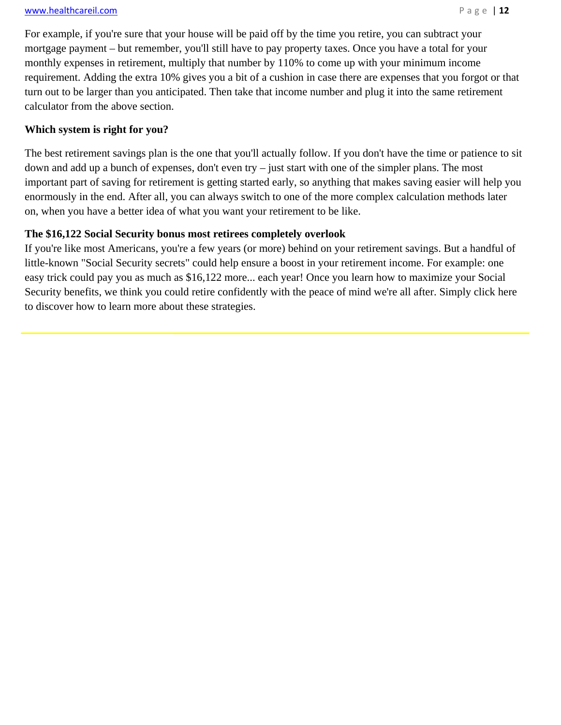L

For example, if you're sure that your house will be paid off by the time you retire, you can subtract your mortgage payment – but remember, you'll still have to pay property taxes. Once you have a total for your monthly expenses in retirement, multiply that number by 110% to come up with your minimum income requirement. Adding the extra 10% gives you a bit of a cushion in case there are expenses that you forgot or that turn out to be larger than you anticipated. Then take that income number and plug it into the same retirement calculator from the above section.

#### **Which system is right for you?**

The best retirement savings plan is the one that you'll actually follow. If you don't have the time or patience to sit down and add up a bunch of expenses, don't even try – just start with one of the simpler plans. The most important part of saving for retirement is getting started early, so anything that makes saving easier will help you enormously in the end. After all, you can always switch to one of the more complex calculation methods later on, when you have a better idea of what you want your retirement to be like.

#### **The \$16,122 Social Security bonus most retirees completely overlook**

If you're like most Americans, you're a few years (or more) behind on your retirement savings. But a handful of little-known "Social Security secrets" could help ensure a boost in your retirement income. For example: one easy trick could pay you as much as \$16,122 more... each year! Once you learn how to maximize your Social Security benefits, we think you could retire confidently with the peace of mind we're all after. Simply click here to discover how to learn more about these strategies.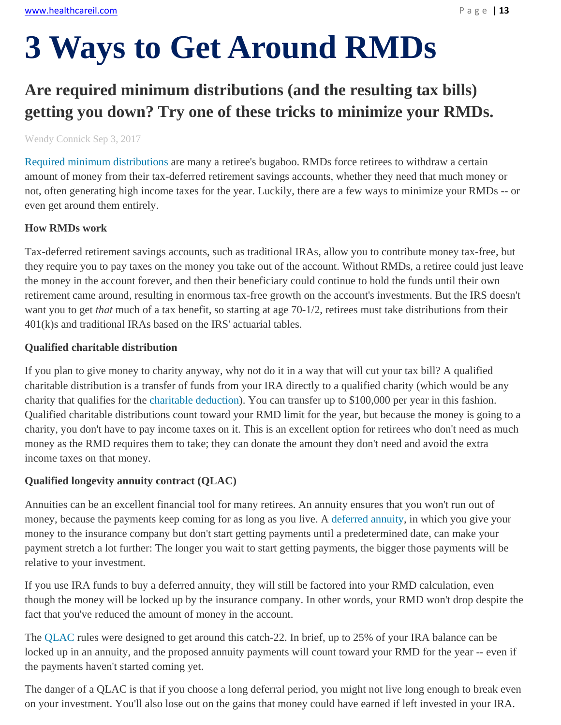# **3 Ways to Get Around RMDs**

### **Are required minimum distributions (and the resulting tax bills) getting you down? Try one of these tricks to minimize your RMDs.**

Wendy Connick Sep 3, 2017

Required minimum distributions are many a retiree's bugaboo. RMDs force retirees to withdraw a certain amount of money from their tax-deferred retirement savings accounts, whether they need that much money or not, often generating high income taxes for the year. Luckily, there are a few ways to minimize your RMDs -- or even get around them entirely.

#### **How RMDs work**

Tax-deferred retirement savings accounts, such as traditional IRAs, allow you to contribute money tax-free, but they require you to pay taxes on the money you take out of the account. Without RMDs, a retiree could just leave the money in the account forever, and then their beneficiary could continue to hold the funds until their own retirement came around, resulting in enormous tax-free growth on the account's investments. But the IRS doesn't want you to get *that* much of a tax benefit, so starting at age 70-1/2, retirees must take distributions from their 401(k)s and traditional IRAs based on the IRS' actuarial tables.

#### **Qualified charitable distribution**

If you plan to give money to charity anyway, why not do it in a way that will cut your tax bill? A qualified charitable distribution is a transfer of funds from your IRA directly to a qualified charity (which would be any charity that qualifies for the charitable deduction). You can transfer up to \$100,000 per year in this fashion. Qualified charitable distributions count toward your RMD limit for the year, but because the money is going to a charity, you don't have to pay income taxes on it. This is an excellent option for retirees who don't need as much money as the RMD requires them to take; they can donate the amount they don't need and avoid the extra income taxes on that money.

#### **Qualified longevity annuity contract (QLAC)**

Annuities can be an excellent financial tool for many retirees. An annuity ensures that you won't run out of money, because the payments keep coming for as long as you live. A deferred annuity, in which you give your money to the insurance company but don't start getting payments until a predetermined date, can make your payment stretch a lot further: The longer you wait to start getting payments, the bigger those payments will be relative to your investment.

If you use IRA funds to buy a deferred annuity, they will still be factored into your RMD calculation, even though the money will be locked up by the insurance company. In other words, your RMD won't drop despite the fact that you've reduced the amount of money in the account.

The QLAC rules were designed to get around this catch-22. In brief, up to 25% of your IRA balance can be locked up in an annuity, and the proposed annuity payments will count toward your RMD for the year -- even if the payments haven't started coming yet.

The danger of a QLAC is that if you choose a long deferral period, you might not live long enough to break even on your investment. You'll also lose out on the gains that money could have earned if left invested in your IRA.